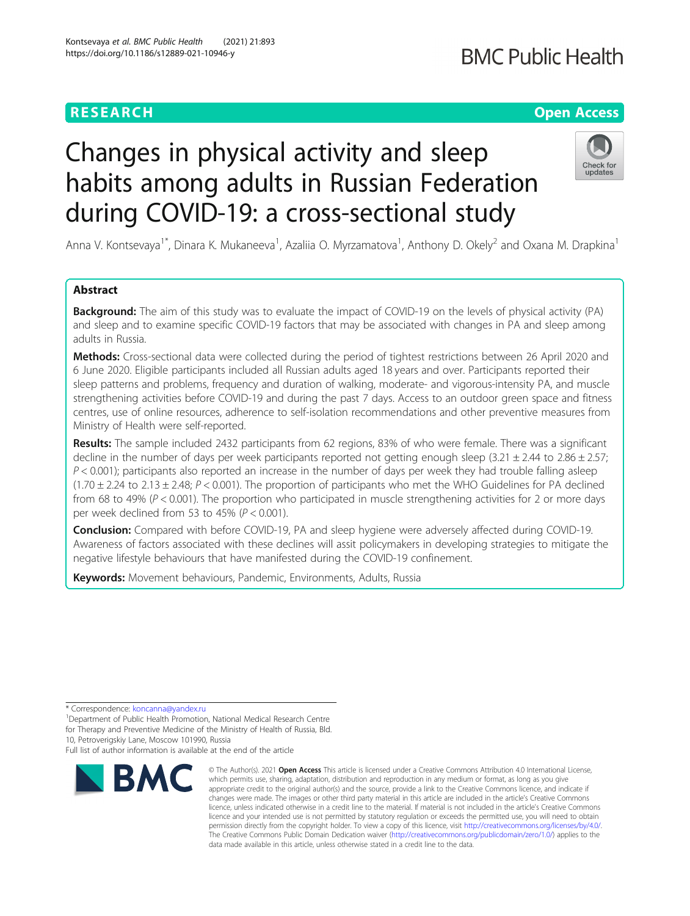# **RESEARCH CHE Open Access**

# **BMC Public Health**

# Changes in physical activity and sleep habits among adults in Russian Federation during COVID-19: a cross-sectional study



Anna V. Kontsevaya<sup>1\*</sup>, Dinara K. Mukaneeva<sup>1</sup>, Azaliia O. Myrzamatova<sup>1</sup>, Anthony D. Okely<sup>2</sup> and Oxana M. Drapkina<sup>1</sup>

# Abstract

**Background:** The aim of this study was to evaluate the impact of COVID-19 on the levels of physical activity (PA) and sleep and to examine specific COVID-19 factors that may be associated with changes in PA and sleep among adults in Russia.

Methods: Cross-sectional data were collected during the period of tightest restrictions between 26 April 2020 and 6 June 2020. Eligible participants included all Russian adults aged 18 years and over. Participants reported their sleep patterns and problems, frequency and duration of walking, moderate- and vigorous-intensity PA, and muscle strengthening activities before COVID-19 and during the past 7 days. Access to an outdoor green space and fitness centres, use of online resources, adherence to self-isolation recommendations and other preventive measures from Ministry of Health were self-reported.

Results: The sample included 2432 participants from 62 regions, 83% of who were female. There was a significant decline in the number of days per week participants reported not getting enough sleep  $(3.21 \pm 2.44$  to  $2.86 \pm 2.57$ ;  $P < 0.001$ ); participants also reported an increase in the number of days per week they had trouble falling asleep  $(1.70 \pm 2.24$  to  $2.13 \pm 2.48$ ;  $P < 0.001$ ). The proportion of participants who met the WHO Guidelines for PA declined from 68 to 49% (P < 0.001). The proportion who participated in muscle strengthening activities for 2 or more days per week declined from 53 to 45% ( $P < 0.001$ ).

Conclusion: Compared with before COVID-19, PA and sleep hygiene were adversely affected during COVID-19. Awareness of factors associated with these declines will assit policymakers in developing strategies to mitigate the negative lifestyle behaviours that have manifested during the COVID-19 confinement.

Keywords: Movement behaviours, Pandemic, Environments, Adults, Russia

\* Correspondence: [koncanna@yandex.ru](mailto:koncanna@yandex.ru) <sup>1</sup>

<sup>1</sup>Department of Public Health Promotion, National Medical Research Centre for Therapy and Preventive Medicine of the Ministry of Health of Russia, Bld.

10, Petroverigskiy Lane, Moscow 101990, Russia

Full list of author information is available at the end of the article



<sup>©</sup> The Author(s), 2021 **Open Access** This article is licensed under a Creative Commons Attribution 4.0 International License, which permits use, sharing, adaptation, distribution and reproduction in any medium or format, as long as you give appropriate credit to the original author(s) and the source, provide a link to the Creative Commons licence, and indicate if changes were made. The images or other third party material in this article are included in the article's Creative Commons licence, unless indicated otherwise in a credit line to the material. If material is not included in the article's Creative Commons licence and your intended use is not permitted by statutory regulation or exceeds the permitted use, you will need to obtain permission directly from the copyright holder. To view a copy of this licence, visit [http://creativecommons.org/licenses/by/4.0/.](http://creativecommons.org/licenses/by/4.0/) The Creative Commons Public Domain Dedication waiver [\(http://creativecommons.org/publicdomain/zero/1.0/](http://creativecommons.org/publicdomain/zero/1.0/)) applies to the data made available in this article, unless otherwise stated in a credit line to the data.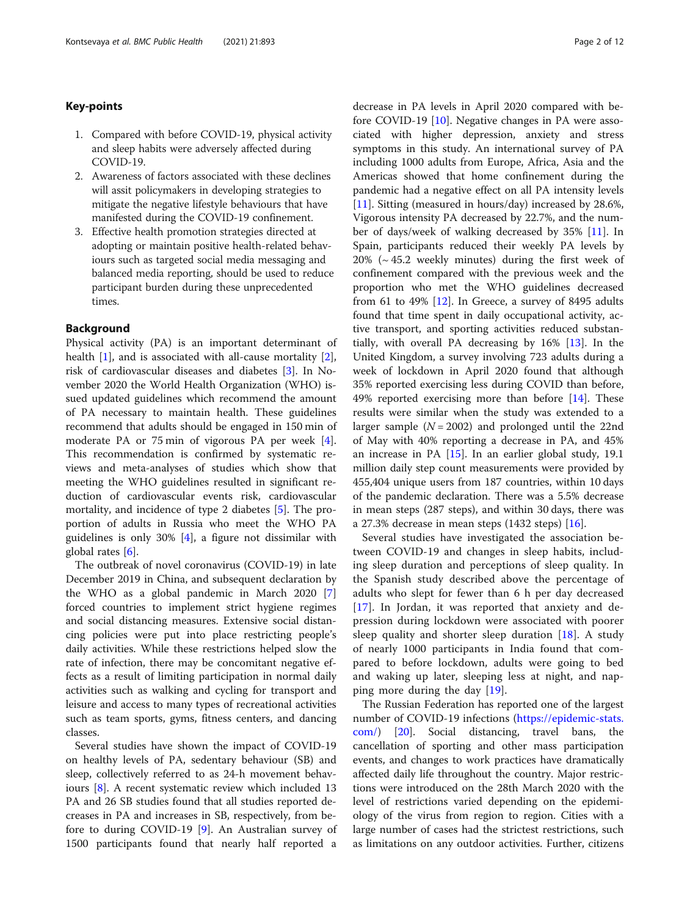### Key-points

- 1. Compared with before COVID-19, physical activity and sleep habits were adversely affected during COVID-19.
- 2. Awareness of factors associated with these declines will assit policymakers in developing strategies to mitigate the negative lifestyle behaviours that have manifested during the COVID-19 confinement.
- 3. Effective health promotion strategies directed at adopting or maintain positive health-related behaviours such as targeted social media messaging and balanced media reporting, should be used to reduce participant burden during these unprecedented times.

#### Background

Physical activity (PA) is an important determinant of health [[1\]](#page-10-0), and is associated with all-cause mortality [\[2](#page-10-0)], risk of cardiovascular diseases and diabetes [[3\]](#page-10-0). In November 2020 the World Health Organization (WHO) issued updated guidelines which recommend the amount of PA necessary to maintain health. These guidelines recommend that adults should be engaged in 150 min of moderate PA or 75 min of vigorous PA per week [\[4](#page-10-0)]. This recommendation is confirmed by systematic reviews and meta-analyses of studies which show that meeting the WHO guidelines resulted in significant reduction of cardiovascular events risk, cardiovascular mortality, and incidence of type 2 diabetes [[5\]](#page-10-0). The proportion of adults in Russia who meet the WHO PA guidelines is only 30% [\[4](#page-10-0)], a figure not dissimilar with global rates [[6\]](#page-10-0).

The outbreak of novel coronavirus (COVID-19) in late December 2019 in China, and subsequent declaration by the WHO as a global pandemic in March 2020 [\[7](#page-10-0)] forced countries to implement strict hygiene regimes and social distancing measures. Extensive social distancing policies were put into place restricting people's daily activities. While these restrictions helped slow the rate of infection, there may be concomitant negative effects as a result of limiting participation in normal daily activities such as walking and cycling for transport and leisure and access to many types of recreational activities such as team sports, gyms, fitness centers, and dancing classes.

Several studies have shown the impact of COVID-19 on healthy levels of PA, sedentary behaviour (SB) and sleep, collectively referred to as 24-h movement behaviours [[8\]](#page-10-0). A recent systematic review which included 13 PA and 26 SB studies found that all studies reported decreases in PA and increases in SB, respectively, from before to during COVID-19 [[9\]](#page-10-0). An Australian survey of 1500 participants found that nearly half reported a decrease in PA levels in April 2020 compared with before COVID-19 [\[10](#page-10-0)]. Negative changes in PA were associated with higher depression, anxiety and stress symptoms in this study. An international survey of PA including 1000 adults from Europe, Africa, Asia and the Americas showed that home confinement during the pandemic had a negative effect on all PA intensity levels [[11\]](#page-10-0). Sitting (measured in hours/day) increased by 28.6%, Vigorous intensity PA decreased by 22.7%, and the number of days/week of walking decreased by 35% [\[11](#page-10-0)]. In Spain, participants reduced their weekly PA levels by  $20\%$  ( $\sim$  45.2 weekly minutes) during the first week of confinement compared with the previous week and the proportion who met the WHO guidelines decreased from 61 to 49%  $[12]$  $[12]$ . In Greece, a survey of 8495 adults found that time spent in daily occupational activity, active transport, and sporting activities reduced substantially, with overall PA decreasing by 16% [[13\]](#page-10-0). In the United Kingdom, a survey involving 723 adults during a week of lockdown in April 2020 found that although 35% reported exercising less during COVID than before, 49% reported exercising more than before [\[14\]](#page-10-0). These results were similar when the study was extended to a larger sample  $(N = 2002)$  and prolonged until the 22nd of May with 40% reporting a decrease in PA, and 45% an increase in PA [\[15](#page-10-0)]. In an earlier global study, 19.1 million daily step count measurements were provided by 455,404 unique users from 187 countries, within 10 days of the pandemic declaration. There was a 5.5% decrease in mean steps (287 steps), and within 30 days, there was a 27.3% decrease in mean steps  $(1432 \text{ steps})$  [\[16](#page-10-0)].

Several studies have investigated the association between COVID-19 and changes in sleep habits, including sleep duration and perceptions of sleep quality. In the Spanish study described above the percentage of adults who slept for fewer than 6 h per day decreased [[17\]](#page-10-0). In Jordan, it was reported that anxiety and depression during lockdown were associated with poorer sleep quality and shorter sleep duration [[18\]](#page-10-0). A study of nearly 1000 participants in India found that compared to before lockdown, adults were going to bed and waking up later, sleeping less at night, and napping more during the day [\[19](#page-10-0)].

The Russian Federation has reported one of the largest number of COVID-19 infections [\(https://epidemic-stats.](https://epidemic-stats.com/) [com/\)](https://epidemic-stats.com/) [[20](#page-10-0)]. Social distancing, travel bans, the cancellation of sporting and other mass participation events, and changes to work practices have dramatically affected daily life throughout the country. Major restrictions were introduced on the 28th March 2020 with the level of restrictions varied depending on the epidemiology of the virus from region to region. Cities with a large number of cases had the strictest restrictions, such as limitations on any outdoor activities. Further, citizens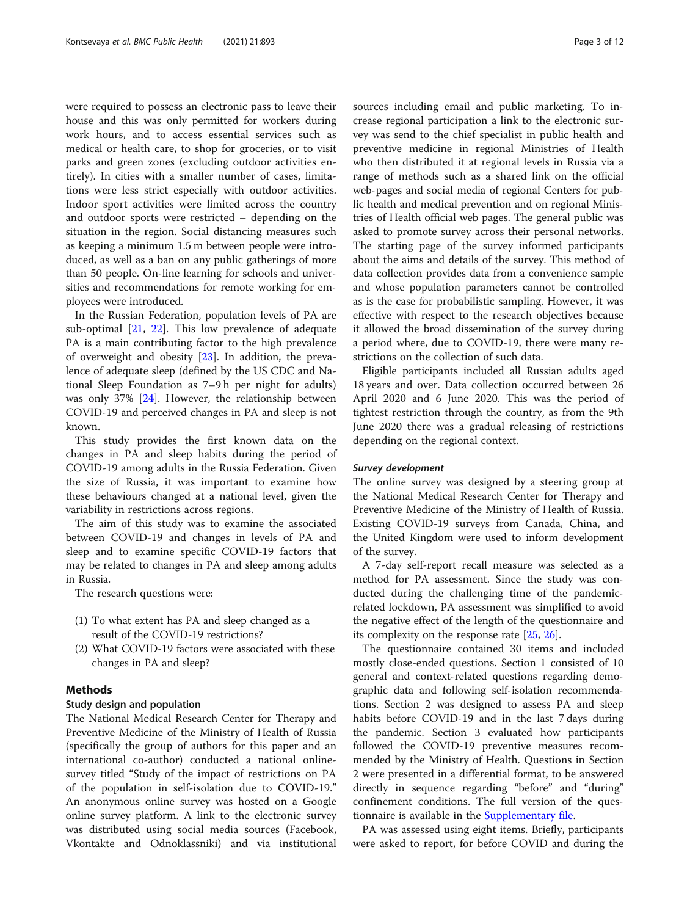were required to possess an electronic pass to leave their house and this was only permitted for workers during work hours, and to access essential services such as medical or health care, to shop for groceries, or to visit parks and green zones (excluding outdoor activities entirely). In cities with a smaller number of cases, limitations were less strict especially with outdoor activities. Indoor sport activities were limited across the country and outdoor sports were restricted – depending on the situation in the region. Social distancing measures such as keeping a minimum 1.5 m between people were introduced, as well as a ban on any public gatherings of more than 50 people. On-line learning for schools and universities and recommendations for remote working for employees were introduced.

In the Russian Federation, population levels of PA are sub-optimal [[21,](#page-10-0) [22](#page-10-0)]. This low prevalence of adequate PA is a main contributing factor to the high prevalence of overweight and obesity [\[23\]](#page-10-0). In addition, the prevalence of adequate sleep (defined by the US CDC and National Sleep Foundation as 7–9 h per night for adults) was only 37% [\[24\]](#page-10-0). However, the relationship between COVID-19 and perceived changes in PA and sleep is not known.

This study provides the first known data on the changes in PA and sleep habits during the period of COVID-19 among adults in the Russia Federation. Given the size of Russia, it was important to examine how these behaviours changed at a national level, given the variability in restrictions across regions.

The aim of this study was to examine the associated between COVID-19 and changes in levels of PA and sleep and to examine specific COVID-19 factors that may be related to changes in PA and sleep among adults in Russia.

The research questions were:

- (1) To what extent has PA and sleep changed as a result of the COVID-19 restrictions?
- (2) What COVID-19 factors were associated with these changes in PA and sleep?

# Methods

# Study design and population

The National Medical Research Center for Therapy and Preventive Medicine of the Ministry of Health of Russia (specifically the group of authors for this paper and an international co-author) conducted a national onlinesurvey titled "Study of the impact of restrictions on PA of the population in self-isolation due to COVID-19." An anonymous online survey was hosted on a Google online survey platform. A link to the electronic survey was distributed using social media sources (Facebook, Vkontakte and Odnoklassniki) and via institutional sources including email and public marketing. To increase regional participation a link to the electronic survey was send to the chief specialist in public health and preventive medicine in regional Ministries of Health who then distributed it at regional levels in Russia via a range of methods such as a shared link on the official web-pages and social media of regional Centers for public health and medical prevention and on regional Ministries of Health official web pages. The general public was asked to promote survey across their personal networks. The starting page of the survey informed participants about the aims and details of the survey. This method of data collection provides data from a convenience sample and whose population parameters cannot be controlled as is the case for probabilistic sampling. However, it was effective with respect to the research objectives because it allowed the broad dissemination of the survey during a period where, due to COVID-19, there were many restrictions on the collection of such data.

Eligible participants included all Russian adults aged 18 years and over. Data collection occurred between 26 April 2020 and 6 June 2020. This was the period of tightest restriction through the country, as from the 9th June 2020 there was a gradual releasing of restrictions depending on the regional context.

#### Survey development

The online survey was designed by a steering group at the National Medical Research Center for Therapy and Preventive Medicine of the Ministry of Health of Russia. Existing COVID-19 surveys from Canada, China, and the United Kingdom were used to inform development of the survey.

A 7-day self-report recall measure was selected as a method for PA assessment. Since the study was conducted during the challenging time of the pandemicrelated lockdown, PA assessment was simplified to avoid the negative effect of the length of the questionnaire and its complexity on the response rate [[25](#page-10-0), [26](#page-10-0)].

The questionnaire contained 30 items and included mostly close-ended questions. Section 1 consisted of 10 general and context-related questions regarding demographic data and following self-isolation recommendations. Section 2 was designed to assess PA and sleep habits before COVID-19 and in the last 7 days during the pandemic. Section 3 evaluated how participants followed the COVID-19 preventive measures recommended by the Ministry of Health. Questions in Section 2 were presented in a differential format, to be answered directly in sequence regarding "before" and "during" confinement conditions. The full version of the questionnaire is available in the [Supplementary file.](#page-9-0)

PA was assessed using eight items. Briefly, participants were asked to report, for before COVID and during the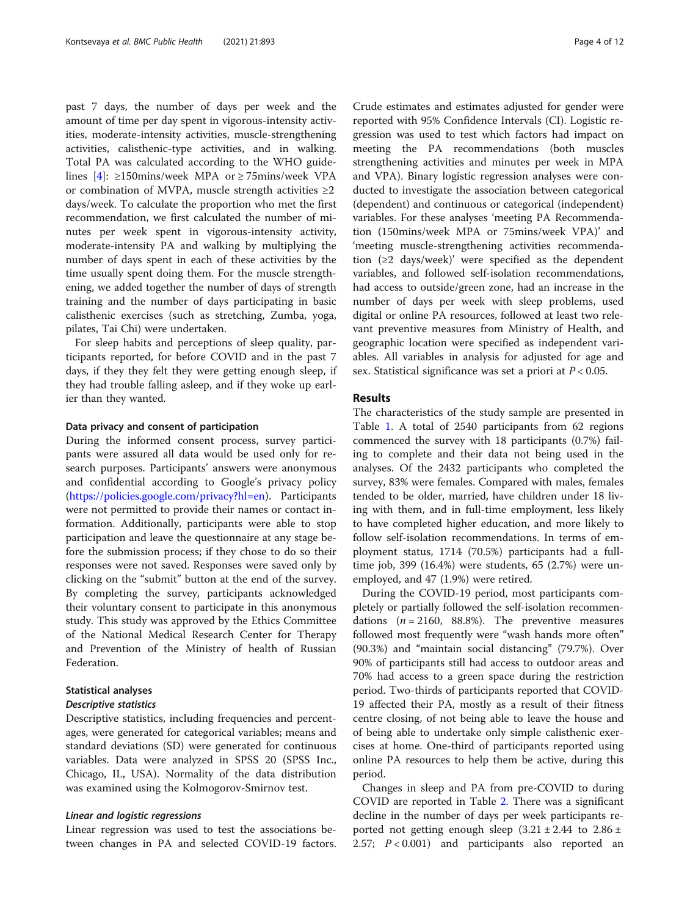past 7 days, the number of days per week and the amount of time per day spent in vigorous-intensity activities, moderate-intensity activities, muscle-strengthening activities, calisthenic-type activities, and in walking. Total PA was calculated according to the WHO guide-lines [[4](#page-10-0)]: ≥150mins/week MPA or ≥75mins/week VPA or combination of MVPA, muscle strength activities  $\geq 2$ days/week. To calculate the proportion who met the first recommendation, we first calculated the number of minutes per week spent in vigorous-intensity activity, moderate-intensity PA and walking by multiplying the number of days spent in each of these activities by the time usually spent doing them. For the muscle strengthening, we added together the number of days of strength training and the number of days participating in basic calisthenic exercises (such as stretching, Zumba, yoga, pilates, Tai Chi) were undertaken.

For sleep habits and perceptions of sleep quality, participants reported, for before COVID and in the past 7 days, if they they felt they were getting enough sleep, if they had trouble falling asleep, and if they woke up earlier than they wanted.

#### Data privacy and consent of participation

During the informed consent process, survey participants were assured all data would be used only for research purposes. Participants' answers were anonymous and confidential according to Google's privacy policy ([https://policies.google.com/privacy?hl=en\)](https://policies.google.com/privacy?hl=en). Participants were not permitted to provide their names or contact information. Additionally, participants were able to stop participation and leave the questionnaire at any stage before the submission process; if they chose to do so their responses were not saved. Responses were saved only by clicking on the "submit" button at the end of the survey. By completing the survey, participants acknowledged their voluntary consent to participate in this anonymous study. This study was approved by the Ethics Committee of the National Medical Research Center for Therapy and Prevention of the Ministry of health of Russian Federation.

#### Statistical analyses Descriptive statistics

Descriptive statistics, including frequencies and percentages, were generated for categorical variables; means and standard deviations (SD) were generated for continuous variables. Data were analyzed in SPSS 20 (SPSS Inc., Chicago, IL, USA). Normality of the data distribution was examined using the Kolmogorov-Smirnov test.

#### Linear and logistic regressions

Linear regression was used to test the associations between changes in PA and selected COVID-19 factors.

Crude estimates and estimates adjusted for gender were reported with 95% Confidence Intervals (CI). Logistic regression was used to test which factors had impact on meeting the PA recommendations (both muscles strengthening activities and minutes per week in MPA and VPA). Binary logistic regression analyses were conducted to investigate the association between categorical (dependent) and continuous or categorical (independent) variables. For these analyses 'meeting PA Recommendation (150mins/week MPA or 75mins/week VPA)' and 'meeting muscle-strengthening activities recommendation (≥2 days/week)' were specified as the dependent variables, and followed self-isolation recommendations, had access to outside/green zone, had an increase in the number of days per week with sleep problems, used digital or online PA resources, followed at least two relevant preventive measures from Ministry of Health, and geographic location were specified as independent variables. All variables in analysis for adjusted for age and sex. Statistical significance was set a priori at  $P < 0.05$ .

### Results

The characteristics of the study sample are presented in Table [1](#page-4-0). A total of 2540 participants from 62 regions commenced the survey with 18 participants (0.7%) failing to complete and their data not being used in the analyses. Of the 2432 participants who completed the survey, 83% were females. Compared with males, females tended to be older, married, have children under 18 living with them, and in full-time employment, less likely to have completed higher education, and more likely to follow self-isolation recommendations. In terms of employment status, 1714 (70.5%) participants had a fulltime job, 399 (16.4%) were students, 65 (2.7%) were unemployed, and 47 (1.9%) were retired.

During the COVID-19 period, most participants completely or partially followed the self-isolation recommendations  $(n = 2160, 88.8\%)$ . The preventive measures followed most frequently were "wash hands more often" (90.3%) and "maintain social distancing" (79.7%). Over 90% of participants still had access to outdoor areas and 70% had access to a green space during the restriction period. Two-thirds of participants reported that COVID-19 affected their PA, mostly as a result of their fitness centre closing, of not being able to leave the house and of being able to undertake only simple calisthenic exercises at home. One-third of participants reported using online PA resources to help them be active, during this period.

Changes in sleep and PA from pre-COVID to during COVID are reported in Table [2.](#page-5-0) There was a significant decline in the number of days per week participants reported not getting enough sleep  $(3.21 \pm 2.44)$  to  $2.86 \pm 1.5$ 2.57;  $P < 0.001$ ) and participants also reported an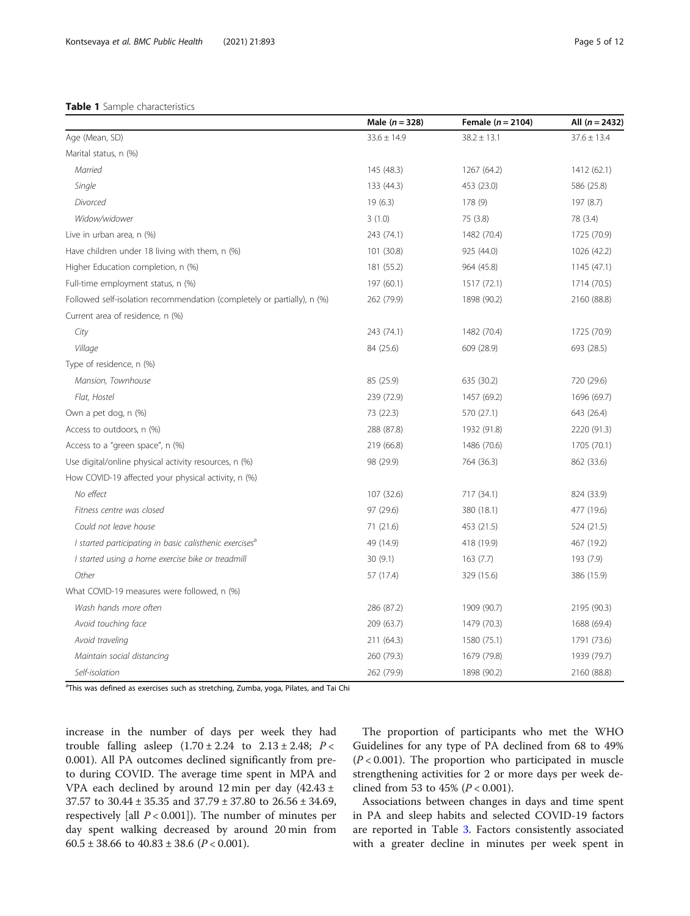<span id="page-4-0"></span>

|                                                                         | Male $(n = 328)$ | Female $(n = 2104)$ | All $(n = 2432)$ |
|-------------------------------------------------------------------------|------------------|---------------------|------------------|
| Age (Mean, SD)                                                          | $33.6 \pm 14.9$  | $38.2 \pm 13.1$     | $37.6 \pm 13.4$  |
| Marital status, n (%)                                                   |                  |                     |                  |
| Married                                                                 | 145 (48.3)       | 1267 (64.2)         | 1412 (62.1)      |
| Single                                                                  | 133 (44.3)       | 453 (23.0)          | 586 (25.8)       |
| Divorced                                                                | 19(6.3)          | 178 (9)             | 197 (8.7)        |
| Widow/widower                                                           | 3(1.0)           | 75 (3.8)            | 78 (3.4)         |
| Live in urban area, n (%)                                               | 243 (74.1)       | 1482 (70.4)         | 1725 (70.9)      |
| Have children under 18 living with them, n (%)                          | 101 (30.8)       | 925 (44.0)          | 1026 (42.2)      |
| Higher Education completion, n (%)                                      | 181 (55.2)       | 964 (45.8)          | 1145 (47.1)      |
| Full-time employment status, n (%)                                      | 197 (60.1)       | 1517 (72.1)         | 1714 (70.5)      |
| Followed self-isolation recommendation (completely or partially), n (%) | 262 (79.9)       | 1898 (90.2)         | 2160 (88.8)      |
| Current area of residence, n (%)                                        |                  |                     |                  |
| City                                                                    | 243 (74.1)       | 1482 (70.4)         | 1725 (70.9)      |
| Village                                                                 | 84 (25.6)        | 609 (28.9)          | 693 (28.5)       |
| Type of residence, n (%)                                                |                  |                     |                  |
| Mansion, Townhouse                                                      | 85 (25.9)        | 635 (30.2)          | 720 (29.6)       |
| Flat, Hostel                                                            | 239 (72.9)       | 1457 (69.2)         | 1696 (69.7)      |
| Own a pet dog, n (%)                                                    | 73 (22.3)        | 570 (27.1)          | 643 (26.4)       |
| Access to outdoors, n (%)                                               | 288 (87.8)       | 1932 (91.8)         | 2220 (91.3)      |
| Access to a "green space", n (%)                                        | 219 (66.8)       | 1486 (70.6)         | 1705 (70.1)      |
| Use digital/online physical activity resources, n (%)                   | 98 (29.9)        | 764 (36.3)          | 862 (33.6)       |
| How COVID-19 affected your physical activity, n (%)                     |                  |                     |                  |
| No effect                                                               | 107 (32.6)       | 717 (34.1)          | 824 (33.9)       |
| Fitness centre was closed                                               | 97 (29.6)        | 380 (18.1)          | 477 (19.6)       |
| Could not leave house                                                   | 71(21.6)         | 453 (21.5)          | 524 (21.5)       |
| I started participating in basic calisthenic exercises <sup>a</sup>     | 49 (14.9)        | 418 (19.9)          | 467 (19.2)       |
| I started using a home exercise bike or treadmill                       | 30(9.1)          | 163(7.7)            | 193 (7.9)        |
| Other                                                                   | 57 (17.4)        | 329 (15.6)          | 386 (15.9)       |
| What COVID-19 measures were followed, n (%)                             |                  |                     |                  |
| Wash hands more often                                                   | 286 (87.2)       | 1909 (90.7)         | 2195 (90.3)      |
| Avoid touching face                                                     | 209 (63.7)       | 1479 (70.3)         | 1688 (69.4)      |
| Avoid traveling                                                         | 211 (64.3)       | 1580 (75.1)         | 1791 (73.6)      |
| Maintain social distancing                                              | 260 (79.3)       | 1679 (79.8)         | 1939 (79.7)      |
| Self-isolation                                                          | 262 (79.9)       | 1898 (90.2)         | 2160 (88.8)      |

<sup>a</sup>This was defined as exercises such as stretching, Zumba, yoga, Pilates, and Tai Chi

increase in the number of days per week they had trouble falling asleep  $(1.70 \pm 2.24$  to  $2.13 \pm 2.48$ ;  $P <$ 0.001). All PA outcomes declined significantly from preto during COVID. The average time spent in MPA and VPA each declined by around 12 min per day (42.43 ± 37.57 to 30.44 ± 35.35 and 37.79 ± 37.80 to 26.56 ± 34.69, respectively [all  $P < 0.001$ ]). The number of minutes per day spent walking decreased by around 20 min from 60.5 ± 38.66 to  $40.83 \pm 38.6$  ( $P < 0.001$ ).

The proportion of participants who met the WHO Guidelines for any type of PA declined from 68 to 49%  $(P < 0.001)$ . The proportion who participated in muscle strengthening activities for 2 or more days per week declined from 53 to 45% ( $P < 0.001$ ).

Associations between changes in days and time spent in PA and sleep habits and selected COVID-19 factors are reported in Table [3.](#page-6-0) Factors consistently associated with a greater decline in minutes per week spent in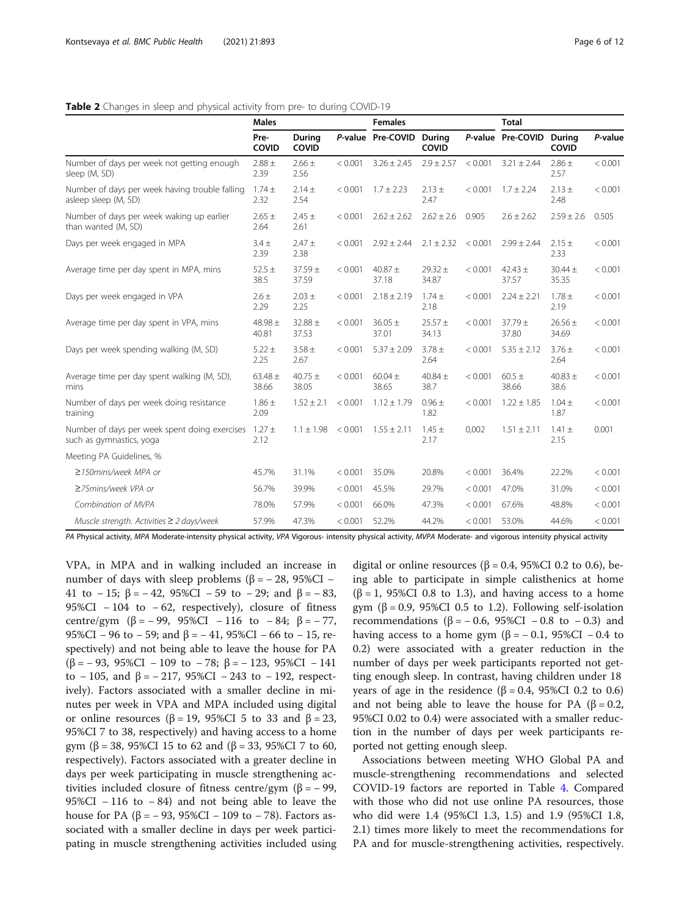<span id="page-5-0"></span>

|                                                                           | <b>Males</b>         |                      |         | <b>Females</b>           |                      |         | <b>Total</b>         |                      |         |
|---------------------------------------------------------------------------|----------------------|----------------------|---------|--------------------------|----------------------|---------|----------------------|----------------------|---------|
|                                                                           | Pre-<br>COVID        | During<br>COVID      |         | P-value Pre-COVID During | COVID                |         | P-value Pre-COVID    | During<br>COVID      | P-value |
| Number of days per week not getting enough<br>sleep (M, SD)               | $2.88 \pm$<br>2.39   | $2.66 \pm$<br>2.56   | < 0.001 | $3.26 \pm 2.45$          | $2.9 \pm 2.57$       | < 0.001 | $3.21 \pm 2.44$      | $2.86 \pm$<br>2.57   | < 0.001 |
| Number of days per week having trouble falling<br>asleep sleep (M, SD)    | $1.74 \pm$<br>2.32   | $2.14 \pm$<br>2.54   | < 0.001 | $1.7 \pm 2.23$           | $2.13 \pm$<br>2.47   | < 0.001 | $1.7 \pm 2.24$       | $2.13 \pm$<br>2.48   | < 0.001 |
| Number of days per week waking up earlier<br>than wanted (M, SD)          | $2.65 \pm$<br>2.64   | $2.45 \pm$<br>2.61   | < 0.001 | $2.62 \pm 2.62$          | $2.62 \pm 2.6$       | 0.905   | $2.6 \pm 2.62$       | $2.59 \pm 2.6$       | 0.505   |
| Days per week engaged in MPA                                              | $3.4 \pm$<br>2.39    | $2.47 +$<br>2.38     | < 0.001 | $2.92 \pm 2.44$          | $2.1 \pm 2.32$       | < 0.001 | $2.99 \pm 2.44$      | $2.15 \pm$<br>2.33   | < 0.001 |
| Average time per day spent in MPA, mins                                   | $52.5 \pm$<br>38.5   | $37.59 +$<br>37.59   | < 0.001 | $40.87 +$<br>37.18       | $29.32 \pm$<br>34.87 | < 0.001 | $42.43 \pm$<br>37.57 | $30.44 \pm$<br>35.35 | < 0.001 |
| Days per week engaged in VPA                                              | $2.6 \pm$<br>2.29    | $2.03 \pm$<br>2.25   | < 0.001 | $2.18 \pm 2.19$          | $1.74 \pm$<br>2.18   | < 0.001 | $2.24 \pm 2.21$      | $1.78 \pm$<br>2.19   | < 0.001 |
| Average time per day spent in VPA, mins                                   | $48.98 \pm$<br>40.81 | $32.88 \pm$<br>37.53 | < 0.001 | $36.05 \pm$<br>37.01     | $25.57 +$<br>34.13   | < 0.001 | $37.79 \pm$<br>37.80 | $26.56 \pm$<br>34.69 | < 0.001 |
| Days per week spending walking (M, SD)                                    | $5.22 \pm$<br>2.25   | $3.58 \pm$<br>2.67   | < 0.001 | $5.37 \pm 2.09$          | $3.78 \pm$<br>2.64   | < 0.001 | $5.35 \pm 2.12$      | $3.76 \pm$<br>2.64   | < 0.001 |
| Average time per day spent walking (M, SD),<br>mins                       | $63.48 \pm$<br>38.66 | $40.75 \pm$<br>38.05 | < 0.001 | $60.04 \pm$<br>38.65     | 40.84 $\pm$<br>38.7  | < 0.001 | $60.5 \pm$<br>38.66  | 40.83 $\pm$<br>38.6  | < 0.001 |
| Number of days per week doing resistance<br>training                      | $1.86 \pm$<br>2.09   | $1.52 \pm 2.1$       | < 0.001 | $1.12 \pm 1.79$          | $0.96 \pm$<br>1.82   | < 0.001 | $1.22 \pm 1.85$      | $1.04 \pm$<br>1.87   | < 0.001 |
| Number of days per week spent doing exercises<br>such as gymnastics, yoga | $1.27 \pm$<br>2.12   | $1.1 \pm 1.98$       | < 0.001 | $1.55 \pm 2.11$          | $1.45 \pm$<br>2.17   | 0,002   | $1.51 \pm 2.11$      | $1.41 \pm$<br>2.15   | 0.001   |
| Meeting PA Guidelines, %                                                  |                      |                      |         |                          |                      |         |                      |                      |         |
| $\geq$ 150mins/week MPA or                                                | 45.7%                | 31.1%                | < 0.001 | 35.0%                    | 20.8%                | < 0.001 | 36.4%                | 22.2%                | < 0.001 |
| ≥75mins/week VPA or                                                       | 56.7%                | 39.9%                | < 0.001 | 45.5%                    | 29.7%                | < 0.001 | 47.0%                | 31.0%                | < 0.001 |
| Combination of MVPA                                                       | 78.0%                | 57.9%                | < 0.001 | 66.0%                    | 47.3%                | < 0.001 | 67.6%                | 48.8%                | < 0.001 |
| Muscle strength. Activities $\geq$ 2 days/week                            | 57.9%                | 47.3%                | < 0.001 | 52.2%                    | 44.2%                | < 0.001 | 53.0%                | 44.6%                | < 0.001 |

PA Physical activity, MPA Moderate-intensity physical activity, VPA Vigorous- intensity physical activity, MVPA Moderate- and vigorous intensity physical activity

VPA, in MPA and in walking included an increase in number of days with sleep problems ( $β = -28$ , 95%CI – 41 to − 15; β = − 42, 95%CI − 59 to − 29; and β = − 83, 95%CI  $-104$  to  $-62$ , respectively), closure of fitness centre/gym ( $\beta$  = − 99, 95%CI − 116 to −84;  $\beta$  = − 77, 95%CI − 96 to − 59; and β = − 41, 95%CI − 66 to − 15, respectively) and not being able to leave the house for PA ( $\beta$  = – 93, 95%CI – 109 to – 78;  $\beta$  = – 123, 95%CI – 141 to  $-105$ , and  $\beta = -217$ , 95%CI  $-243$  to  $-192$ , respectively). Factors associated with a smaller decline in minutes per week in VPA and MPA included using digital or online resources ( $β = 19$ , 95%CI 5 to 33 and  $β = 23$ , 95%CI 7 to 38, respectively) and having access to a home gym (β = 38, 95%CI 15 to 62 and (β = 33, 95%CI 7 to 60, respectively). Factors associated with a greater decline in days per week participating in muscle strengthening activities included closure of fitness centre/gym (β =  $-$  99, 95%CI − 116 to − 84) and not being able to leave the house for PA (β = −93, 95%CI − 109 to −78). Factors associated with a smaller decline in days per week participating in muscle strengthening activities included using

digital or online resources ( $β = 0.4$ , 95%CI 0.2 to 0.6), being able to participate in simple calisthenics at home ( $\beta$  = 1, 95%CI 0.8 to 1.3), and having access to a home gym ( $\beta$  = 0.9, 95%CI 0.5 to 1.2). Following self-isolation recommendations ( $\beta$  = − 0.6, 95%CI − 0.8 to − 0.3) and having access to a home gym ( $\beta$  = −0.1, 95%CI −0.4 to 0.2) were associated with a greater reduction in the number of days per week participants reported not getting enough sleep. In contrast, having children under 18 years of age in the residence ( $β = 0.4$ , 95%CI 0.2 to 0.6) and not being able to leave the house for PA ( $\beta = 0.2$ , 95%CI 0.02 to 0.4) were associated with a smaller reduction in the number of days per week participants reported not getting enough sleep.

Associations between meeting WHO Global PA and muscle-strengthening recommendations and selected COVID-19 factors are reported in Table [4.](#page-7-0) Compared with those who did not use online PA resources, those who did were 1.4 (95%CI 1.3, 1.5) and 1.9 (95%CI 1.8, 2.1) times more likely to meet the recommendations for PA and for muscle-strengthening activities, respectively.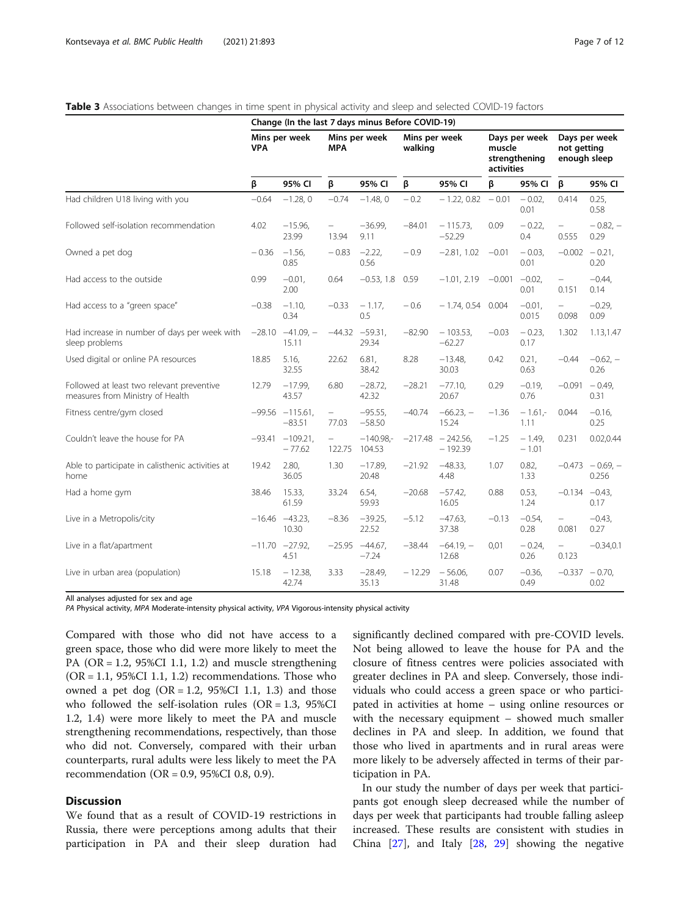#### <span id="page-6-0"></span>Table 3 Associations between changes in time spent in physical activity and sleep and selected COVID-19 factors

|                                                                               | Change (In the last 7 days minus Before COVID-19) |                               |                                   |                       |                          |                        |                                                        |                    |                                              |                              |
|-------------------------------------------------------------------------------|---------------------------------------------------|-------------------------------|-----------------------------------|-----------------------|--------------------------|------------------------|--------------------------------------------------------|--------------------|----------------------------------------------|------------------------------|
|                                                                               | Mins per week<br><b>VPA</b>                       |                               | Mins per week<br><b>MPA</b>       |                       | Mins per week<br>walking |                        | Days per week<br>muscle<br>strengthening<br>activities |                    | Days per week<br>not getting<br>enough sleep |                              |
|                                                                               | β                                                 | 95% CI                        | β                                 | 95% CI                | β                        | 95% CI                 | β                                                      | 95% CI             | β                                            | 95% CI                       |
| Had children U18 living with you                                              | $-0.64$                                           | $-1.28, 0$                    | $-0.74$                           | $-1.48, 0$            | $-0.2$                   | $-1.22, 0.82$          | $-0.01$                                                | $-0.02$<br>0.01    | 0.414                                        | 0.25,<br>0.58                |
| Followed self-isolation recommendation                                        | 4.02                                              | $-15.96$<br>23.99             | $\overline{\phantom{0}}$<br>13.94 | $-36.99.$<br>9.11     | $-84.01$                 | $-115.73,$<br>$-52.29$ | 0.09                                                   | $-0.22$<br>0.4     | $\equiv$<br>0.555                            | $-0.82, -$<br>0.29           |
| Owned a pet dog                                                               | $-0.36$                                           | $-1.56$<br>0.85               | $-0.83$                           | $-2.22$<br>0.56       | $-0.9$                   | $-2.81, 1.02$          | $-0.01$                                                | $-0.03$<br>0.01    | $-0.002 - 0.21$ ,                            | 0.20                         |
| Had access to the outside                                                     | 0.99                                              | $-0.01$ ,<br>2.00             | 0.64                              | $-0.53, 1.8$          | 0.59                     | $-1.01, 2.19$          | $-0.001$                                               | $-0.02$<br>0.01    | $\overline{\phantom{0}}$<br>0.151            | $-0.44.$<br>0.14             |
| Had access to a "green space"                                                 | $-0.38$                                           | $-1.10,$<br>0.34              | $-0.33$                           | $-1.17$ ,<br>0.5      | $-0.6$                   | $-1.74, 0.54$ 0.004    |                                                        | $-0.01$ ,<br>0.015 | $\overline{\phantom{0}}$<br>0.098            | $-0.29$<br>0.09              |
| Had increase in number of days per week with<br>sleep problems                | $-28.10$                                          | $-41.09 -$<br>15.11           | $-44.32$                          | $-59.31$<br>29.34     | $-82.90$                 | $-103.53,$<br>$-62.27$ | $-0.03$                                                | $-0.23$<br>0.17    | 1.302                                        | 1.13,1.47                    |
| Used digital or online PA resources                                           | 18.85                                             | 5.16,<br>32.55                | 22.62                             | 6.81.<br>38.42        | 8.28                     | $-13.48$<br>30.03      | 0.42                                                   | 0.21,<br>0.63      | $-0.44$                                      | $-0.62, -$<br>0.26           |
| Followed at least two relevant preventive<br>measures from Ministry of Health | 12.79                                             | $-17.99$<br>43.57             | 6.80                              | $-28.72$<br>42.32     | $-28.21$                 | $-77.10$<br>20.67      | 0.29                                                   | $-0.19$<br>0.76    | $-0.091$                                     | $-0.49,$<br>0.31             |
| Fitness centre/gym closed                                                     |                                                   | $-99.56 -115.61$<br>$-83.51$  | $\equiv$<br>77.03                 | $-95.55$<br>$-58.50$  | $-40.74$                 | $-66.23, -$<br>15.24   | $-1.36$                                                | $-1.61 -$<br>1.11  | 0.044                                        | $-0.16$<br>0.25              |
| Couldn't leave the house for PA                                               |                                                   | $-93.41 - 109.21$<br>$-77.62$ | $\bar{ }$<br>122.75               | $-140.98 -$<br>104.53 | $-217.48$                | $-242.56$<br>$-192.39$ | $-1.25$                                                | $-1.49$<br>$-1.01$ | 0.231                                        | 0.02, 0.44                   |
| Able to participate in calisthenic activities at<br>home                      | 19.42                                             | 2.80,<br>36.05                | 1.30                              | $-17.89$<br>20.48     | $-21.92$                 | $-48.33$<br>4.48       | 1.07                                                   | 0.82,<br>1.33      |                                              | $-0.473 - 0.69$ , -<br>0.256 |
| Had a home gym                                                                | 38.46                                             | 15.33,<br>61.59               | 33.24                             | 6.54,<br>59.93        | $-20.68$                 | $-57.42$<br>16.05      | 0.88                                                   | 0.53,<br>1.24      | $-0.134 -0.43$                               | 0.17                         |
| Live in a Metropolis/city                                                     |                                                   | $-16.46 -43.23$<br>10.30      | $-8.36$                           | $-39.25$<br>22.52     | $-5.12$                  | $-47.63$<br>37.38      | $-0.13$                                                | $-0.54$<br>0.28    | $\bar{ }$<br>0.081                           | $-0.43,$<br>0.27             |
| Live in a flat/apartment                                                      |                                                   | $-11.70 -27.92$<br>4.51       | $-25.95$                          | $-44.67$ ,<br>$-7.24$ | $-38.44$                 | $-64.19, -$<br>12.68   | 0,01                                                   | $-0.24$<br>0.26    | $\bar{ }$<br>0.123                           | $-0.34, 0.1$                 |
| Live in urban area (population)                                               | 15.18                                             | $-12.38$<br>42.74             | 3.33                              | $-28.49$<br>35.13     | $-12.29$                 | $-56.06$<br>31.48      | 0.07                                                   | $-0.36$<br>0.49    | $-0.337 - 0.70$                              | 0.02                         |

All analyses adjusted for sex and age

PA Physical activity, MPA Moderate-intensity physical activity, VPA Vigorous-intensity physical activity

Compared with those who did not have access to a green space, those who did were more likely to meet the PA ( $OR = 1.2$ , 95%CI 1.1, 1.2) and muscle strengthening  $(OR = 1.1, 95\% CI 1.1, 1.2)$  recommendations. Those who owned a pet dog  $(OR = 1.2, 95\% CI \t1.1, 1.3)$  and those who followed the self-isolation rules  $(OR = 1.3, 95\%CI$ 1.2, 1.4) were more likely to meet the PA and muscle strengthening recommendations, respectively, than those who did not. Conversely, compared with their urban counterparts, rural adults were less likely to meet the PA recommendation (OR = 0.9, 95%CI 0.8, 0.9).

# **Discussion**

We found that as a result of COVID-19 restrictions in Russia, there were perceptions among adults that their participation in PA and their sleep duration had significantly declined compared with pre-COVID levels. Not being allowed to leave the house for PA and the closure of fitness centres were policies associated with greater declines in PA and sleep. Conversely, those individuals who could access a green space or who participated in activities at home – using online resources or with the necessary equipment – showed much smaller declines in PA and sleep. In addition, we found that those who lived in apartments and in rural areas were more likely to be adversely affected in terms of their participation in PA.

In our study the number of days per week that participants got enough sleep decreased while the number of days per week that participants had trouble falling asleep increased. These results are consistent with studies in China [[27](#page-10-0)], and Italy [\[28](#page-10-0), [29](#page-10-0)] showing the negative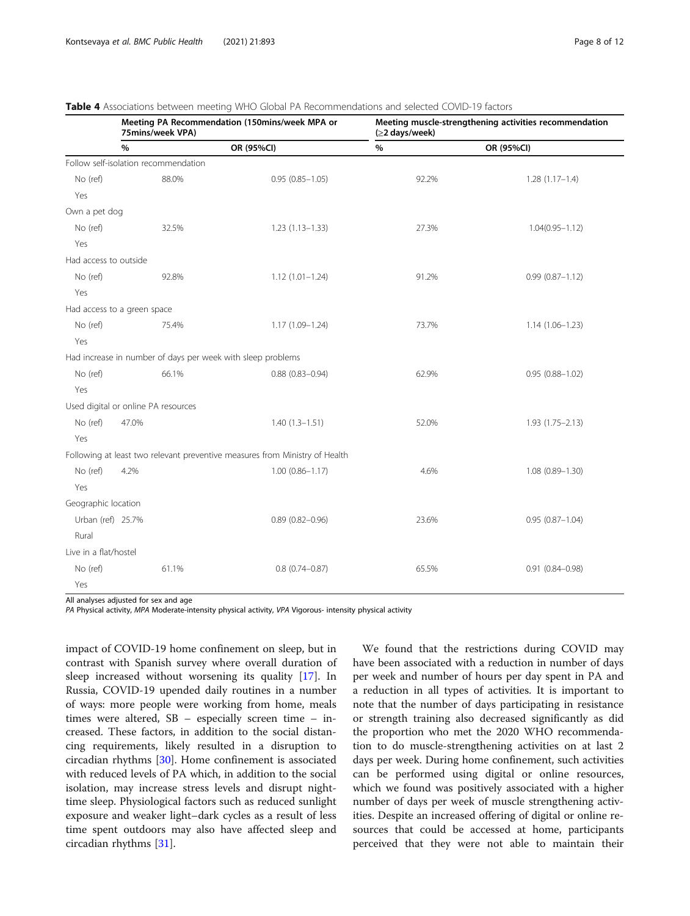<span id="page-7-0"></span>

|                                      | 75mins/week VPA)                    | Meeting PA Recommendation (150mins/week MPA or                              | Meeting muscle-strengthening activities recommendation<br>(≥2 days/week) |                     |  |  |  |  |  |
|--------------------------------------|-------------------------------------|-----------------------------------------------------------------------------|--------------------------------------------------------------------------|---------------------|--|--|--|--|--|
|                                      | %                                   | OR (95%CI)                                                                  | $\%$                                                                     | OR (95%CI)          |  |  |  |  |  |
| Follow self-isolation recommendation |                                     |                                                                             |                                                                          |                     |  |  |  |  |  |
| No (ref)                             | 88.0%                               | $0.95(0.85 - 1.05)$                                                         | 92.2%                                                                    | $1.28(1.17-1.4)$    |  |  |  |  |  |
| Yes                                  |                                     |                                                                             |                                                                          |                     |  |  |  |  |  |
| Own a pet dog                        |                                     |                                                                             |                                                                          |                     |  |  |  |  |  |
| No (ref)                             | 32.5%                               | $1.23(1.13 - 1.33)$                                                         | 27.3%                                                                    | $1.04(0.95 - 1.12)$ |  |  |  |  |  |
| Yes                                  |                                     |                                                                             |                                                                          |                     |  |  |  |  |  |
| Had access to outside                |                                     |                                                                             |                                                                          |                     |  |  |  |  |  |
| No (ref)                             | 92.8%                               | $1.12(1.01 - 1.24)$                                                         | 91.2%                                                                    | $0.99(0.87 - 1.12)$ |  |  |  |  |  |
| Yes                                  |                                     |                                                                             |                                                                          |                     |  |  |  |  |  |
|                                      | Had access to a green space         |                                                                             |                                                                          |                     |  |  |  |  |  |
| No (ref)                             | 75.4%                               | $1.17(1.09 - 1.24)$                                                         | 73.7%                                                                    | $1.14(1.06 - 1.23)$ |  |  |  |  |  |
| Yes                                  |                                     |                                                                             |                                                                          |                     |  |  |  |  |  |
|                                      |                                     | Had increase in number of days per week with sleep problems                 |                                                                          |                     |  |  |  |  |  |
| No (ref)                             | 66.1%                               | $0.88(0.83 - 0.94)$                                                         | 62.9%                                                                    | $0.95(0.88 - 1.02)$ |  |  |  |  |  |
| Yes                                  |                                     |                                                                             |                                                                          |                     |  |  |  |  |  |
|                                      | Used digital or online PA resources |                                                                             |                                                                          |                     |  |  |  |  |  |
| No (ref)                             | 47.0%                               | $1.40(1.3 - 1.51)$                                                          | 52.0%                                                                    | $1.93(1.75 - 2.13)$ |  |  |  |  |  |
| Yes                                  |                                     |                                                                             |                                                                          |                     |  |  |  |  |  |
|                                      |                                     | Following at least two relevant preventive measures from Ministry of Health |                                                                          |                     |  |  |  |  |  |
| No (ref)                             | 4.2%                                | $1.00(0.86 - 1.17)$                                                         | 4.6%                                                                     | $1.08(0.89 - 1.30)$ |  |  |  |  |  |
| Yes                                  |                                     |                                                                             |                                                                          |                     |  |  |  |  |  |
| Geographic location                  |                                     |                                                                             |                                                                          |                     |  |  |  |  |  |
| Urban (ref) 25.7%                    |                                     | $0.89(0.82 - 0.96)$                                                         | 23.6%                                                                    | $0.95(0.87 - 1.04)$ |  |  |  |  |  |
| Rural                                |                                     |                                                                             |                                                                          |                     |  |  |  |  |  |
| Live in a flat/hostel                |                                     |                                                                             |                                                                          |                     |  |  |  |  |  |
| No (ref)                             | 61.1%                               | $0.8(0.74 - 0.87)$                                                          | 65.5%                                                                    | $0.91(0.84 - 0.98)$ |  |  |  |  |  |
| Yes                                  |                                     |                                                                             |                                                                          |                     |  |  |  |  |  |

All analyses adjusted for sex and age

PA Physical activity, MPA Moderate-intensity physical activity, VPA Vigorous- intensity physical activity

impact of COVID-19 home confinement on sleep, but in contrast with Spanish survey where overall duration of sleep increased without worsening its quality [\[17](#page-10-0)]. In Russia, COVID-19 upended daily routines in a number of ways: more people were working from home, meals times were altered, SB – especially screen time – increased. These factors, in addition to the social distancing requirements, likely resulted in a disruption to circadian rhythms [[30](#page-10-0)]. Home confinement is associated with reduced levels of PA which, in addition to the social isolation, may increase stress levels and disrupt nighttime sleep. Physiological factors such as reduced sunlight exposure and weaker light–dark cycles as a result of less time spent outdoors may also have affected sleep and circadian rhythms [[31](#page-10-0)].

We found that the restrictions during COVID may have been associated with a reduction in number of days per week and number of hours per day spent in PA and a reduction in all types of activities. It is important to note that the number of days participating in resistance or strength training also decreased significantly as did the proportion who met the 2020 WHO recommendation to do muscle-strengthening activities on at last 2 days per week. During home confinement, such activities can be performed using digital or online resources, which we found was positively associated with a higher number of days per week of muscle strengthening activities. Despite an increased offering of digital or online resources that could be accessed at home, participants perceived that they were not able to maintain their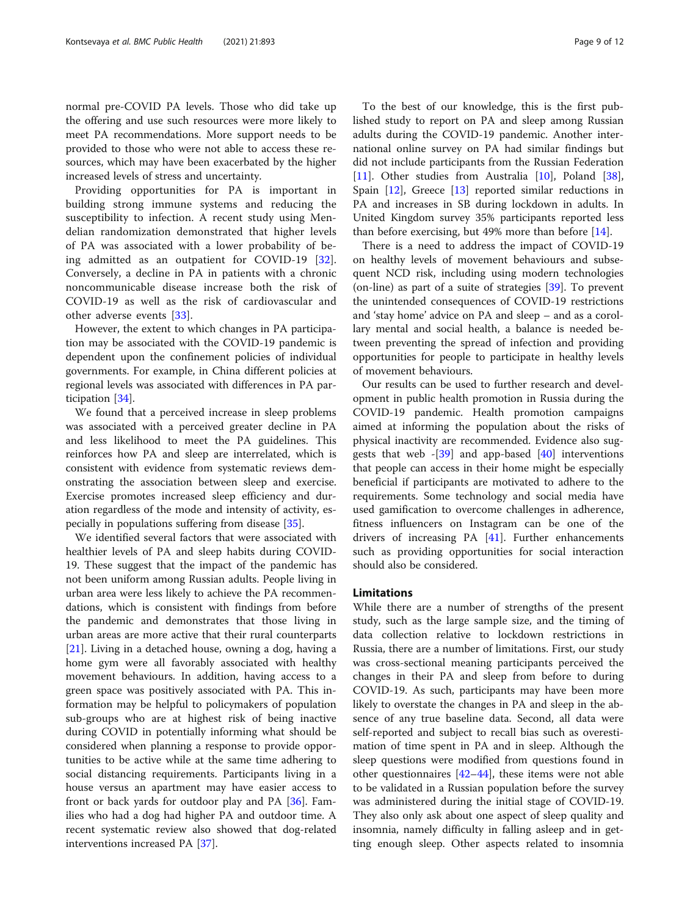normal pre-COVID PA levels. Those who did take up the offering and use such resources were more likely to meet PA recommendations. More support needs to be provided to those who were not able to access these resources, which may have been exacerbated by the higher increased levels of stress and uncertainty.

Providing opportunities for PA is important in building strong immune systems and reducing the susceptibility to infection. A recent study using Mendelian randomization demonstrated that higher levels of PA was associated with a lower probability of being admitted as an outpatient for COVID-19 [\[32](#page-10-0)]. Conversely, a decline in PA in patients with a chronic noncommunicable disease increase both the risk of COVID-19 as well as the risk of cardiovascular and other adverse events [[33](#page-10-0)].

However, the extent to which changes in PA participation may be associated with the COVID-19 pandemic is dependent upon the confinement policies of individual governments. For example, in China different policies at regional levels was associated with differences in PA participation [\[34](#page-10-0)].

We found that a perceived increase in sleep problems was associated with a perceived greater decline in PA and less likelihood to meet the PA guidelines. This reinforces how PA and sleep are interrelated, which is consistent with evidence from systematic reviews demonstrating the association between sleep and exercise. Exercise promotes increased sleep efficiency and duration regardless of the mode and intensity of activity, especially in populations suffering from disease [[35\]](#page-10-0).

We identified several factors that were associated with healthier levels of PA and sleep habits during COVID-19. These suggest that the impact of the pandemic has not been uniform among Russian adults. People living in urban area were less likely to achieve the PA recommendations, which is consistent with findings from before the pandemic and demonstrates that those living in urban areas are more active that their rural counterparts [[21\]](#page-10-0). Living in a detached house, owning a dog, having a home gym were all favorably associated with healthy movement behaviours. In addition, having access to a green space was positively associated with PA. This information may be helpful to policymakers of population sub-groups who are at highest risk of being inactive during COVID in potentially informing what should be considered when planning a response to provide opportunities to be active while at the same time adhering to social distancing requirements. Participants living in a house versus an apartment may have easier access to front or back yards for outdoor play and PA [\[36](#page-10-0)]. Families who had a dog had higher PA and outdoor time. A recent systematic review also showed that dog-related interventions increased PA [[37\]](#page-11-0).

To the best of our knowledge, this is the first published study to report on PA and sleep among Russian adults during the COVID-19 pandemic. Another international online survey on PA had similar findings but did not include participants from the Russian Federation [[11\]](#page-10-0). Other studies from Australia [\[10\]](#page-10-0), Poland [\[38](#page-11-0)], Spain [\[12](#page-10-0)], Greece [\[13](#page-10-0)] reported similar reductions in PA and increases in SB during lockdown in adults. In United Kingdom survey 35% participants reported less than before exercising, but 49% more than before [[14](#page-10-0)].

There is a need to address the impact of COVID-19 on healthy levels of movement behaviours and subsequent NCD risk, including using modern technologies (on-line) as part of a suite of strategies [[39\]](#page-11-0). To prevent the unintended consequences of COVID-19 restrictions and 'stay home' advice on PA and sleep – and as a corollary mental and social health, a balance is needed between preventing the spread of infection and providing opportunities for people to participate in healthy levels of movement behaviours.

Our results can be used to further research and development in public health promotion in Russia during the COVID-19 pandemic. Health promotion campaigns aimed at informing the population about the risks of physical inactivity are recommended. Evidence also suggests that web  $-[39]$  $-[39]$  and app-based  $[40]$  $[40]$  interventions that people can access in their home might be especially beneficial if participants are motivated to adhere to the requirements. Some technology and social media have used gamification to overcome challenges in adherence, fitness influencers on Instagram can be one of the drivers of increasing PA [[41\]](#page-11-0). Further enhancements such as providing opportunities for social interaction should also be considered.

### Limitations

While there are a number of strengths of the present study, such as the large sample size, and the timing of data collection relative to lockdown restrictions in Russia, there are a number of limitations. First, our study was cross-sectional meaning participants perceived the changes in their PA and sleep from before to during COVID-19. As such, participants may have been more likely to overstate the changes in PA and sleep in the absence of any true baseline data. Second, all data were self-reported and subject to recall bias such as overestimation of time spent in PA and in sleep. Although the sleep questions were modified from questions found in other questionnaires [\[42](#page-11-0)–[44\]](#page-11-0), these items were not able to be validated in a Russian population before the survey was administered during the initial stage of COVID-19. They also only ask about one aspect of sleep quality and insomnia, namely difficulty in falling asleep and in getting enough sleep. Other aspects related to insomnia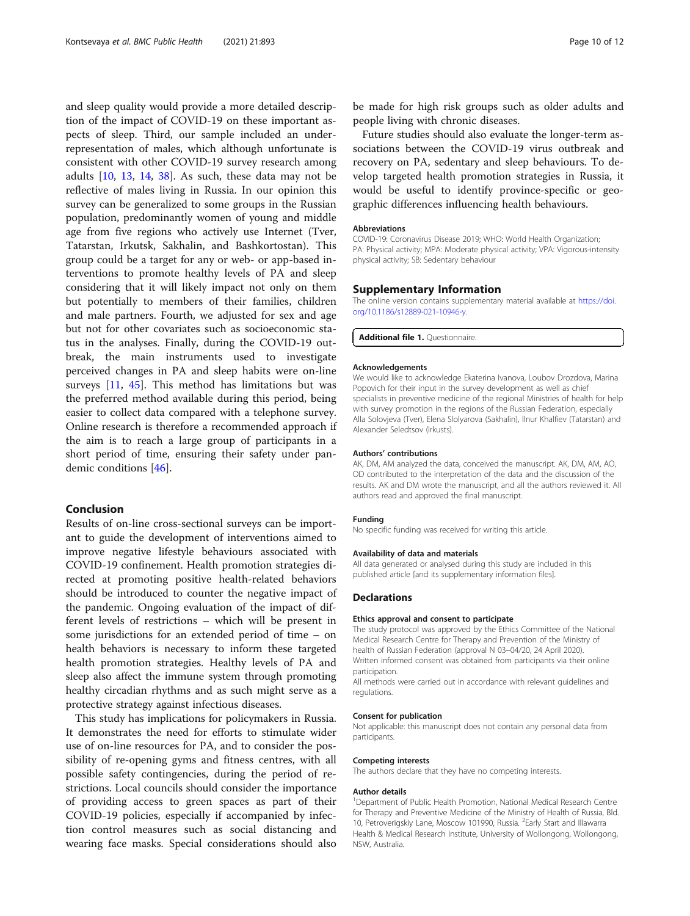<span id="page-9-0"></span>and sleep quality would provide a more detailed description of the impact of COVID-19 on these important aspects of sleep. Third, our sample included an underrepresentation of males, which although unfortunate is consistent with other COVID-19 survey research among adults [\[10](#page-10-0), [13](#page-10-0), [14](#page-10-0), [38](#page-11-0)]. As such, these data may not be reflective of males living in Russia. In our opinion this survey can be generalized to some groups in the Russian population, predominantly women of young and middle age from five regions who actively use Internet (Tver, Tatarstan, Irkutsk, Sakhalin, and Bashkortostan). This group could be a target for any or web- or app-based interventions to promote healthy levels of PA and sleep considering that it will likely impact not only on them but potentially to members of their families, children and male partners. Fourth, we adjusted for sex and age but not for other covariates such as socioeconomic status in the analyses. Finally, during the COVID-19 outbreak, the main instruments used to investigate perceived changes in PA and sleep habits were on-line surveys [[11](#page-10-0), [45](#page-11-0)]. This method has limitations but was the preferred method available during this period, being easier to collect data compared with a telephone survey. Online research is therefore a recommended approach if the aim is to reach a large group of participants in a short period of time, ensuring their safety under pandemic conditions [\[46](#page-11-0)].

#### Conclusion

Results of on-line cross-sectional surveys can be important to guide the development of interventions aimed to improve negative lifestyle behaviours associated with COVID-19 confinement. Health promotion strategies directed at promoting positive health-related behaviors should be introduced to counter the negative impact of the pandemic. Ongoing evaluation of the impact of different levels of restrictions – which will be present in some jurisdictions for an extended period of time – on health behaviors is necessary to inform these targeted health promotion strategies. Healthy levels of PA and sleep also affect the immune system through promoting healthy circadian rhythms and as such might serve as a protective strategy against infectious diseases.

This study has implications for policymakers in Russia. It demonstrates the need for efforts to stimulate wider use of on-line resources for PA, and to consider the possibility of re-opening gyms and fitness centres, with all possible safety contingencies, during the period of restrictions. Local councils should consider the importance of providing access to green spaces as part of their COVID-19 policies, especially if accompanied by infection control measures such as social distancing and wearing face masks. Special considerations should also be made for high risk groups such as older adults and people living with chronic diseases.

Future studies should also evaluate the longer-term associations between the COVID-19 virus outbreak and recovery on PA, sedentary and sleep behaviours. To develop targeted health promotion strategies in Russia, it would be useful to identify province-specific or geographic differences influencing health behaviours.

#### Abbreviations

COVID-19: Coronavirus Disease 2019; WHO: World Health Organization; PA: Physical activity; MPA: Moderate physical activity; VPA: Vigorous-intensity physical activity; SB: Sedentary behaviour

#### Supplementary Information

The online version contains supplementary material available at [https://doi.](https://doi.org/10.1186/s12889-021-10946-y) [org/10.1186/s12889-021-10946-y](https://doi.org/10.1186/s12889-021-10946-y).

Additional file 1. Questionnaire.

#### Acknowledgements

We would like to acknowledge Ekaterina Ivanova, Loubov Drozdova, Marina Popovich for their input in the survey development as well as chief specialists in preventive medicine of the regional Ministries of health for help with survey promotion in the regions of the Russian Federation, especially Alla Solovjeva (Tver), Elena Slolyarova (Sakhalin), Ilnur Khalfiev (Tatarstan) and Alexander Seledtsov (Irkusts).

#### Authors' contributions

AK, DM, AM analyzed the data, conceived the manuscript. AK, DM, AM, AO, OD contributed to the interpretation of the data and the discussion of the results. AK and DM wrote the manuscript, and all the authors reviewed it. All authors read and approved the final manuscript.

#### Funding

No specific funding was received for writing this article.

#### Availability of data and materials

All data generated or analysed during this study are included in this published article [and its supplementary information files].

#### Declarations

#### Ethics approval and consent to participate

The study protocol was approved by the Ethics Committee of the National Medical Research Centre for Therapy and Prevention of the Ministry of health of Russian Federation (approval N 03–04/20, 24 April 2020). Written informed consent was obtained from participants via their online

participation.

All methods were carried out in accordance with relevant guidelines and regulations.

#### Consent for publication

Not applicable: this manuscript does not contain any personal data from participants.

#### Competing interests

The authors declare that they have no competing interests.

#### Author details

<sup>1</sup>Department of Public Health Promotion, National Medical Research Centre for Therapy and Preventive Medicine of the Ministry of Health of Russia, Bld. 10, Petroverigskiy Lane, Moscow 101990, Russia. <sup>2</sup>Early Start and Illawarra Health & Medical Research Institute, University of Wollongong, Wollongong, NSW, Australia.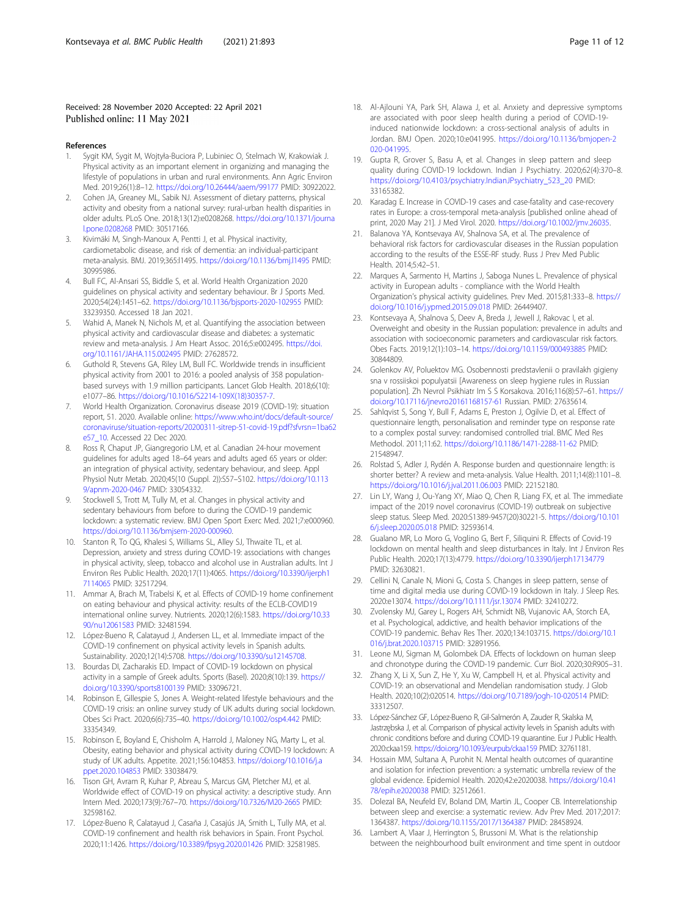#### <span id="page-10-0"></span>Received: 28 November 2020 Accepted: 22 April 2021 Published online: 11 May 2021

#### References

- 1. Sygit KM, Sygit M, Wojtyła-Buciora P, Lubiniec O, Stelmach W, Krakowiak J. Physical activity as an important element in organizing and managing the lifestyle of populations in urban and rural environments. Ann Agric Environ Med. 2019;26(1):8–12. <https://doi.org/10.26444/aaem/99177> PMID: 30922022.
- 2. Cohen JA, Greaney ML, Sabik NJ. Assessment of dietary patterns, physical activity and obesity from a national survey: rural-urban health disparities in older adults. PLoS One. 2018;13(12):e0208268. [https://doi.org/10.1371/journa](https://doi.org/10.1371/journal.pone.0208268) [l.pone.0208268](https://doi.org/10.1371/journal.pone.0208268) PMID: 30517166.
- 3. Kivimäki M, Singh-Manoux A, Pentti J, et al. Physical inactivity, cardiometabolic disease, and risk of dementia: an individual-participant meta-analysis. BMJ. 2019;365:l1495. <https://doi.org/10.1136/bmj.l1495> PMID: 30995986.
- 4. Bull FC, Al-Ansari SS, Biddle S, et al. World Health Organization 2020 guidelines on physical activity and sedentary behaviour. Br J Sports Med. 2020;54(24):1451–62. <https://doi.org/10.1136/bjsports-2020-102955> PMID: 33239350. Accessed 18 Jan 2021.
- 5. Wahid A, Manek N, Nichols M, et al. Quantifying the association between physical activity and cardiovascular disease and diabetes: a systematic review and meta-analysis. J Am Heart Assoc. 2016;5:e002495. [https://doi.](https://doi.org/10.1161/JAHA.115.002495) [org/10.1161/JAHA.115.002495](https://doi.org/10.1161/JAHA.115.002495) PMID: 27628572.
- 6. Guthold R, Stevens GA, Riley LM, Bull FC. Worldwide trends in insufficient physical activity from 2001 to 2016: a pooled analysis of 358 populationbased surveys with 1.9 million participants. Lancet Glob Health. 2018;6(10): e1077–86. [https://doi.org/10.1016/S2214-109X\(18\)30357-7.](https://doi.org/10.1016/S2214-109X(18)30357-7)
- 7. World Health Organization. Coronavirus disease 2019 (COVID-19): situation report, 51. 2020. Available online: [https://www.who.int/docs/default-source/](https://www.who.int/docs/default-source/coronaviruse/situation-reports/20200311-sitrep-51-covid-19.pdf?sfvrsn=1ba62e57_10) [coronaviruse/situation-reports/20200311-sitrep-51-covid-19.pdf?sfvrsn=1ba62](https://www.who.int/docs/default-source/coronaviruse/situation-reports/20200311-sitrep-51-covid-19.pdf?sfvrsn=1ba62e57_10) [e57\\_10](https://www.who.int/docs/default-source/coronaviruse/situation-reports/20200311-sitrep-51-covid-19.pdf?sfvrsn=1ba62e57_10). Accessed 22 Dec 2020.
- Ross R, Chaput JP, Giangregorio LM, et al. Canadian 24-hour movement guidelines for adults aged 18–64 years and adults aged 65 years or older: an integration of physical activity, sedentary behaviour, and sleep. Appl Physiol Nutr Metab. 2020;45(10 (Suppl. 2)):S57–S102. [https://doi.org/10.113](https://doi.org/10.1139/apnm-2020-0467) [9/apnm-2020-0467](https://doi.org/10.1139/apnm-2020-0467) PMID: 33054332.
- Stockwell S, Trott M, Tully M, et al. Changes in physical activity and sedentary behaviours from before to during the COVID-19 pandemic lockdown: a systematic review. BMJ Open Sport Exerc Med. 2021;7:e000960. <https://doi.org/10.1136/bmjsem-2020-000960>.
- 10. Stanton R, To QG, Khalesi S, Williams SL, Alley SJ, Thwaite TL, et al. Depression, anxiety and stress during COVID-19: associations with changes in physical activity, sleep, tobacco and alcohol use in Australian adults. Int J Environ Res Public Health. 2020;17(11):4065. [https://doi.org/10.3390/ijerph1](https://doi.org/10.3390/ijerph17114065) [7114065](https://doi.org/10.3390/ijerph17114065) PMID: 32517294.
- 11. Ammar A, Brach M, Trabelsi K, et al. Effects of COVID-19 home confinement on eating behaviour and physical activity: results of the ECLB-COVID19 international online survey. Nutrients. 2020;12(6):1583. [https://doi.org/10.33](https://doi.org/10.3390/nu12061583) [90/nu12061583](https://doi.org/10.3390/nu12061583) PMID: 32481594.
- 12. López-Bueno R, Calatayud J, Andersen LL, et al. Immediate impact of the COVID-19 confinement on physical activity levels in Spanish adults. Sustainability. 2020;12(14):5708. <https://doi.org/10.3390/su12145708>.
- 13. Bourdas DI, Zacharakis ED. Impact of COVID-19 lockdown on physical activity in a sample of Greek adults. Sports (Basel). 2020;8(10):139. [https://](https://doi.org/10.3390/sports8100139) [doi.org/10.3390/sports8100139](https://doi.org/10.3390/sports8100139) PMID: 33096721.
- 14. Robinson E, Gillespie S, Jones A. Weight-related lifestyle behaviours and the COVID-19 crisis: an online survey study of UK adults during social lockdown. Obes Sci Pract. 2020;6(6):735–40. <https://doi.org/10.1002/osp4.442> PMID: 33354349.
- 15. Robinson E, Boyland E, Chisholm A, Harrold J, Maloney NG, Marty L, et al. Obesity, eating behavior and physical activity during COVID-19 lockdown: A study of UK adults. Appetite. 2021;156:104853. [https://doi.org/10.1016/j.a](https://doi.org/10.1016/j.appet.2020.104853) [ppet.2020.104853](https://doi.org/10.1016/j.appet.2020.104853) PMID: 33038479.
- 16. Tison GH, Avram R, Kuhar P, Abreau S, Marcus GM, Pletcher MJ, et al. Worldwide effect of COVID-19 on physical activity: a descriptive study. Ann Intern Med. 2020;173(9):767–70. <https://doi.org/10.7326/M20-2665> PMID: 32598162.
- 17. López-Bueno R, Calatayud J, Casaña J, Casajús JA, Smith L, Tully MA, et al. COVID-19 confinement and health risk behaviors in Spain. Front Psychol. 2020;11:1426. <https://doi.org/10.3389/fpsyg.2020.01426> PMID: 32581985.
- 18. Al-Ajlouni YA, Park SH, Alawa J, et al. Anxiety and depressive symptoms are associated with poor sleep health during a period of COVID-19 induced nationwide lockdown: a cross-sectional analysis of adults in Jordan. BMJ Open. 2020;10:e041995. [https://doi.org/10.1136/bmjopen-2](https://doi.org/10.1136/bmjopen-2020-041995) [020-041995](https://doi.org/10.1136/bmjopen-2020-041995).
- 19. Gupta R, Grover S, Basu A, et al. Changes in sleep pattern and sleep quality during COVID-19 lockdown. Indian J Psychiatry. 2020;62(4):370–8. [https://doi.org/10.4103/psychiatry.IndianJPsychiatry\\_523\\_20](https://doi.org/10.4103/psychiatry.IndianJPsychiatry_523_20) PMID: 33165382.
- 20. Karadag E. Increase in COVID-19 cases and case-fatality and case-recovery rates in Europe: a cross-temporal meta-analysis [published online ahead of print, 2020 May 21]. J Med Virol. 2020. <https://doi.org/10.1002/jmv.26035>.
- 21. Balanova YA, Kontsevaya AV, Shalnova SA, et al. The prevalence of behavioral risk factors for cardiovascular diseases in the Russian population according to the results of the ESSE-RF study. Russ J Prev Med Public Health. 2014;5:42–51.
- 22. Marques A, Sarmento H, Martins J, Saboga Nunes L. Prevalence of physical activity in European adults - compliance with the World Health Organization's physical activity guidelines. Prev Med. 2015;81:333–8. [https://](https://doi.org/10.1016/j.ypmed.2015.09.018) [doi.org/10.1016/j.ypmed.2015.09.018](https://doi.org/10.1016/j.ypmed.2015.09.018) PMID: 26449407.
- 23. Kontsevaya A, Shalnova S, Deev A, Breda J, Jewell J, Rakovac I, et al. Overweight and obesity in the Russian population: prevalence in adults and association with socioeconomic parameters and cardiovascular risk factors. Obes Facts. 2019;12(1):103–14. <https://doi.org/10.1159/000493885> PMID: 30844809.
- 24. Golenkov AV, Poluektov MG. Osobennosti predstavlenii o pravilakh gigieny sna v rossiiskoi populyatsii [Awareness on sleep hygiene rules in Russian population]. Zh Nevrol Psikhiatr Im S S Korsakova. 2016;116(8):57–61. [https://](https://doi.org/10.17116/jnevro20161168157-61) [doi.org/10.17116/jnevro20161168157-61](https://doi.org/10.17116/jnevro20161168157-61) Russian. PMID: 27635614.
- 25. Sahlqvist S, Song Y, Bull F, Adams E, Preston J, Ogilvie D, et al. Effect of questionnaire length, personalisation and reminder type on response rate to a complex postal survey: randomised controlled trial. BMC Med Res Methodol. 2011;11:62. <https://doi.org/10.1186/1471-2288-11-62> PMID: 21548947.
- 26. Rolstad S, Adler J, Rydén A. Response burden and questionnaire length: is shorter better? A review and meta-analysis. Value Health. 2011;14(8):1101–8. <https://doi.org/10.1016/j.jval.2011.06.003> PMID: 22152180.
- 27. Lin LY, Wang J, Ou-Yang XY, Miao Q, Chen R, Liang FX, et al. The immediate impact of the 2019 novel coronavirus (COVID-19) outbreak on subjective sleep status. Sleep Med. 2020:S1389-9457(20)30221-5. [https://doi.org/10.101](https://doi.org/10.1016/j.sleep.2020.05.018) [6/j.sleep.2020.05.018](https://doi.org/10.1016/j.sleep.2020.05.018) PMID: 32593614.
- 28. Gualano MR, Lo Moro G, Voglino G, Bert F, Siliquini R. Effects of Covid-19 lockdown on mental health and sleep disturbances in Italy. Int J Environ Res Public Health. 2020;17(13):4779. <https://doi.org/10.3390/ijerph17134779> PMID: 32630821.
- 29. Cellini N, Canale N, Mioni G, Costa S. Changes in sleep pattern, sense of time and digital media use during COVID-19 lockdown in Italy. J Sleep Res. 2020:e13074. <https://doi.org/10.1111/jsr.13074> PMID: 32410272.
- 30. Zvolensky MJ, Garey L, Rogers AH, Schmidt NB, Vujanovic AA, Storch EA, et al. Psychological, addictive, and health behavior implications of the COVID-19 pandemic. Behav Res Ther. 2020;134:103715. [https://doi.org/10.1](https://doi.org/10.1016/j.brat.2020.103715) [016/j.brat.2020.103715](https://doi.org/10.1016/j.brat.2020.103715) PMID: 32891956.
- 31. Leone MJ, Sigman M, Golombek DA. Effects of lockdown on human sleep and chronotype during the COVID-19 pandemic. Curr Biol. 2020;30:R905–31.
- 32. Zhang X, Li X, Sun Z, He Y, Xu W, Campbell H, et al. Physical activity and COVID-19: an observational and Mendelian randomisation study. J Glob Health. 2020;10(2):020514. <https://doi.org/10.7189/jogh-10-020514> PMID: 33312507.
- 33. López-Sánchez GF, López-Bueno R, Gil-Salmerón A, Zauder R, Skalska M, Jastrzębska J, et al. Comparison of physical activity levels in Spanish adults with chronic conditions before and during COVID-19 quarantine. Eur J Public Health. 2020:ckaa159. <https://doi.org/10.1093/eurpub/ckaa159> PMID: 32761181.
- 34. Hossain MM, Sultana A, Purohit N. Mental health outcomes of quarantine and isolation for infection prevention: a systematic umbrella review of the global evidence. Epidemiol Health. 2020;42:e2020038. [https://doi.org/10.41](https://doi.org/10.4178/epih.e2020038) [78/epih.e2020038](https://doi.org/10.4178/epih.e2020038) PMID: 32512661.
- 35. Dolezal BA, Neufeld EV, Boland DM, Martin JL, Cooper CB. Interrelationship between sleep and exercise: a systematic review. Adv Prev Med. 2017;2017: 1364387. <https://doi.org/10.1155/2017/1364387> PMID: 28458924.
- 36. Lambert A, Vlaar J, Herrington S, Brussoni M. What is the relationship between the neighbourhood built environment and time spent in outdoor